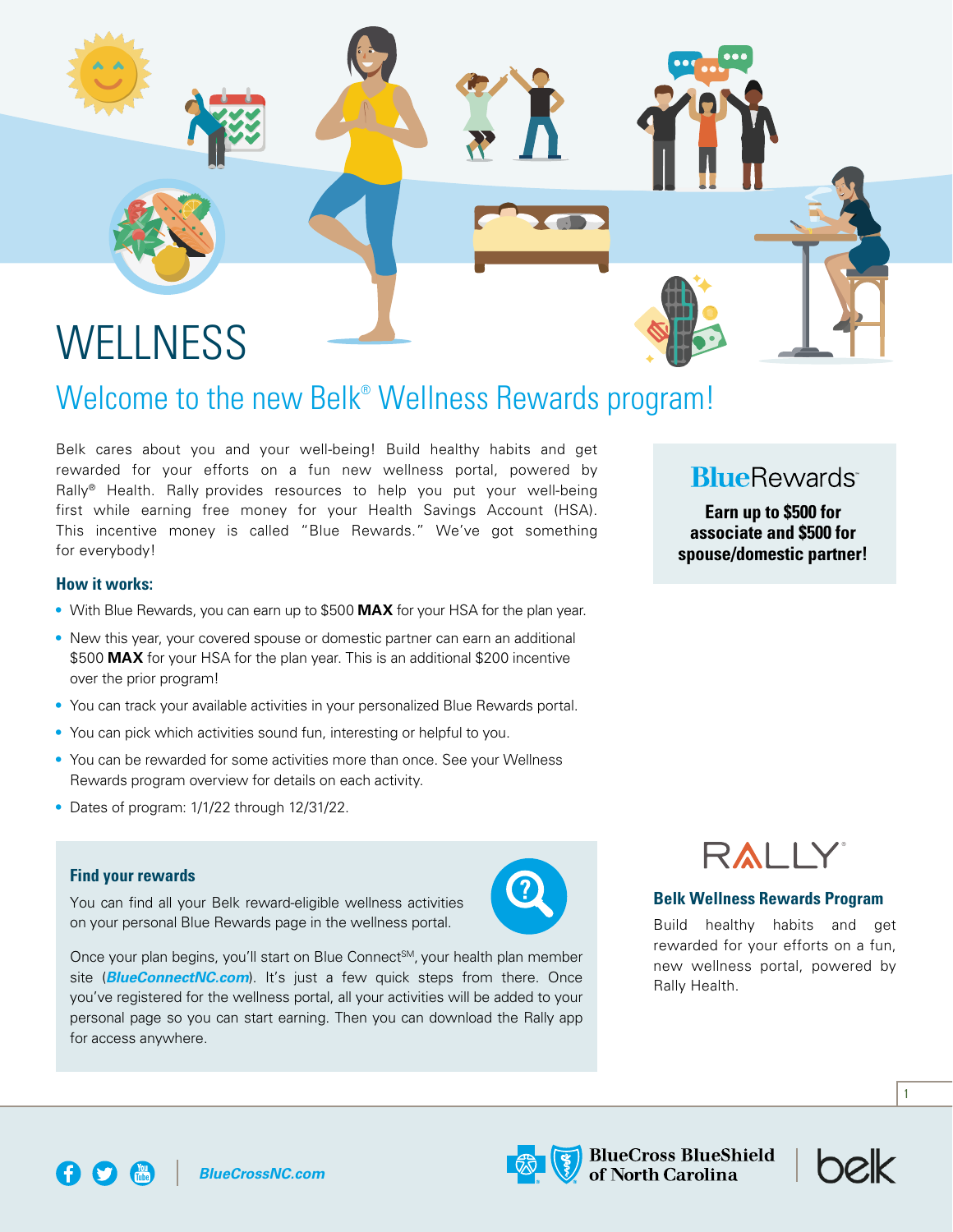

## Welcome to the new Belk<sup>®</sup> Wellness Rewards program!

Belk cares about you and your well-being! Build healthy habits and get rewarded for your efforts on a fun new wellness portal, powered by Rally® Health. Rally provides resources to help you put your well-being first while earning free money for your Health Savings Account (HSA). This incentive money is called "Blue Rewards." We've got something for everybody!

### **BlueRewards**

**Earn up to \$500 for associate and \$500 for spouse/domestic partner!**

### **How it works:**

- With Blue Rewards, you can earn up to \$500 **MAX** for your HSA for the plan year.
- New this year, your covered spouse or domestic partner can earn an additional \$500 **MAX** for your HSA for the plan year. This is an additional \$200 incentive over the prior program!
- You can track your available activities in your personalized Blue Rewards portal.
- You can pick which activities sound fun, interesting or helpful to you.
- You can be rewarded for some activities more than once. See your Wellness Rewards program overview for details on each activity.
- Dates of program: 1/1/22 through 12/31/22.

#### **Find your rewards**

You can find all your Belk reward-eligible wellness activities on your personal Blue Rewards page in the wellness portal.



Once your plan begins, you'll start on Blue Connect<sup>SM</sup>, your health plan member site (*BlueConnectNC.com*). It's just a few quick steps from there. Once you've registered for the wellness portal, all your activities will be added to your personal page so you can start earning. Then you can download the Rally app for access anywhere.

RALLY

### **Belk Wellness Rewards Program**

Build healthy habits and get rewarded for your efforts on a fun, new wellness portal, powered by Rally Health.



1

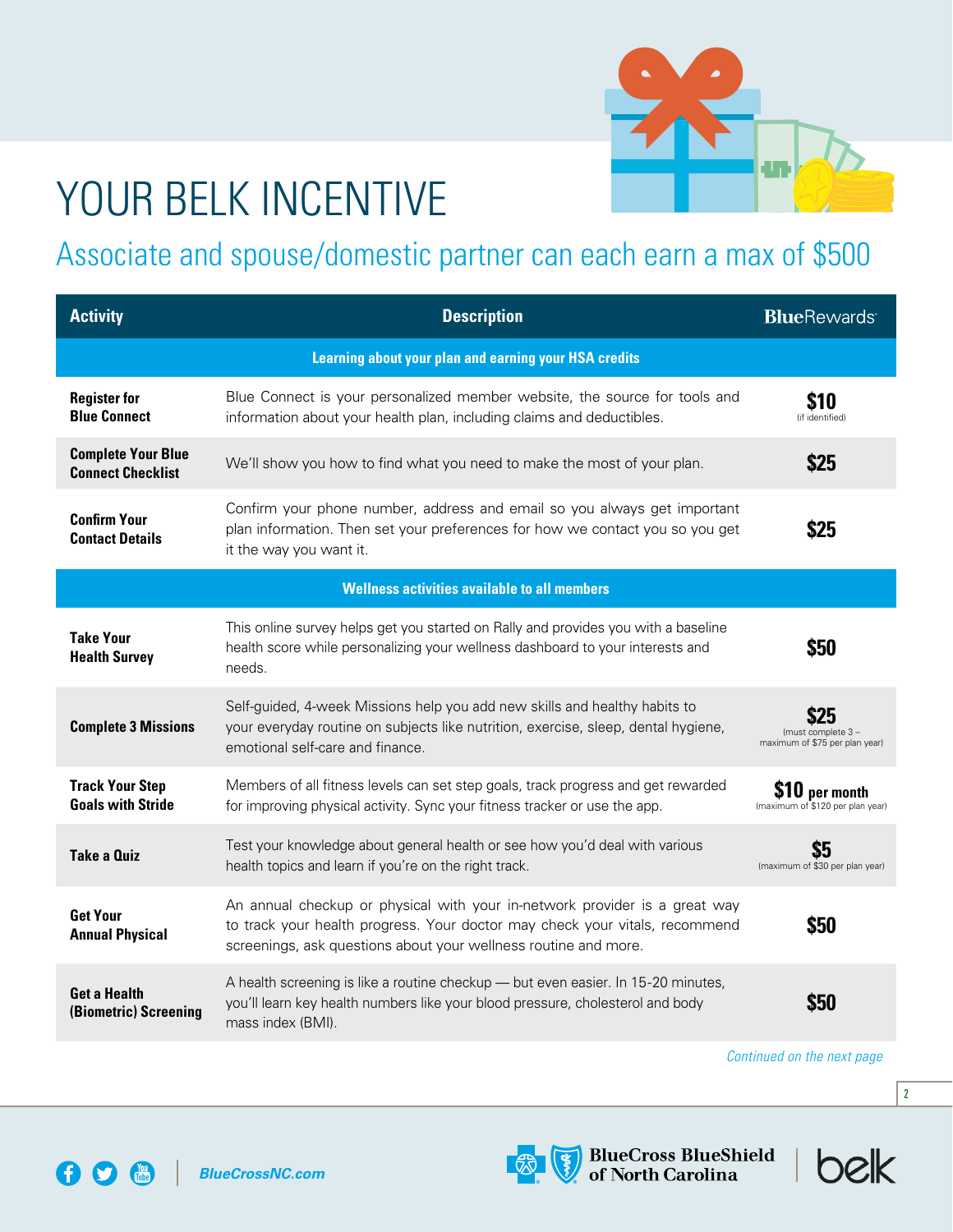

## YOUR BELK INCENTIVE

### Associate and spouse/domestic partner can each earn a max of \$500

| <b>Activity</b>                                              | <b>Description</b>                                                                                                                                                                                                           | <b>BlueRewards</b>                                   |  |
|--------------------------------------------------------------|------------------------------------------------------------------------------------------------------------------------------------------------------------------------------------------------------------------------------|------------------------------------------------------|--|
| <b>Learning about your plan and earning your HSA credits</b> |                                                                                                                                                                                                                              |                                                      |  |
| <b>Register for</b><br><b>Blue Connect</b>                   | Blue Connect is your personalized member website, the source for tools and<br>information about your health plan, including claims and deductibles.                                                                          | 810<br>(if identified)                               |  |
| <b>Complete Your Blue</b><br><b>Connect Checklist</b>        | We'll show you how to find what you need to make the most of your plan.                                                                                                                                                      | \$25                                                 |  |
| <b>Confirm Your</b><br><b>Contact Details</b>                | Confirm your phone number, address and email so you always get important<br>plan information. Then set your preferences for how we contact you so you get<br>it the way you want it.                                         | \$25                                                 |  |
| <b>Wellness activities available to all members</b>          |                                                                                                                                                                                                                              |                                                      |  |
| <b>Take Your</b><br><b>Health Survey</b>                     | This online survey helps get you started on Rally and provides you with a baseline<br>health score while personalizing your wellness dashboard to your interests and<br>needs.                                               | \$50                                                 |  |
| <b>Complete 3 Missions</b>                                   | Self-guided, 4-week Missions help you add new skills and healthy habits to<br>your everyday routine on subjects like nutrition, exercise, sleep, dental hygiene,<br>emotional self-care and finance.                         | (must complete 3 -<br>maximum of \$75 per plan year) |  |
| <b>Track Your Step</b><br><b>Goals with Stride</b>           | Members of all fitness levels can set step goals, track progress and get rewarded<br>for improving physical activity. Sync your fitness tracker or use the app.                                                              | \$10 per month<br>(maximum of \$120 per plan year)   |  |
| <b>Take a Quiz</b>                                           | Test your knowledge about general health or see how you'd deal with various<br>health topics and learn if you're on the right track.                                                                                         | S5<br>(maximum of \$30 per plan year)                |  |
| <b>Get Your</b><br><b>Annual Physical</b>                    | An annual checkup or physical with your in-network provider is a great way<br>to track your health progress. Your doctor may check your vitals, recommend<br>screenings, ask questions about your wellness routine and more. | \$50                                                 |  |
| <b>Get a Health</b><br>(Biometric) Screening                 | A health screening is like a routine checkup - but even easier. In 15-20 minutes,<br>you'll learn key health numbers like your blood pressure, cholesterol and body<br>mass index (BMI).                                     | \$50                                                 |  |

*Continued on the next page*

helk



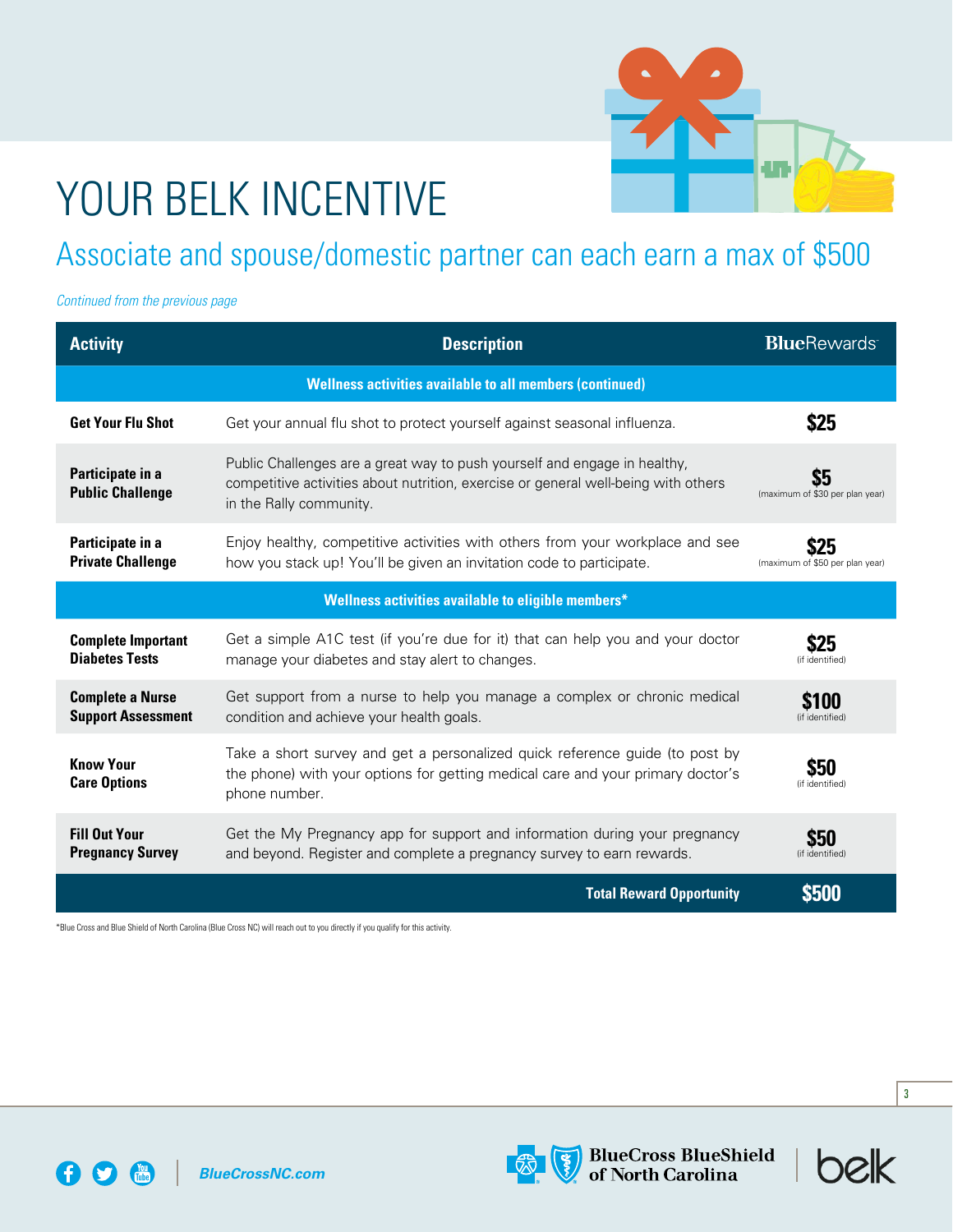

# YOUR BELK INCENTIVE

### Associate and spouse/domestic partner can each earn a max of \$500

*Continued from the previous page*

| <b>Activity</b>                                                 | <b>Description</b>                                                                                                                                                                         | <b>BlueRewards</b>                      |  |  |
|-----------------------------------------------------------------|--------------------------------------------------------------------------------------------------------------------------------------------------------------------------------------------|-----------------------------------------|--|--|
| <b>Wellness activities available to all members (continued)</b> |                                                                                                                                                                                            |                                         |  |  |
| <b>Get Your Flu Shot</b>                                        | Get your annual flu shot to protect yourself against seasonal influenza.                                                                                                                   | \$25                                    |  |  |
| Participate in a<br><b>Public Challenge</b>                     | Public Challenges are a great way to push yourself and engage in healthy,<br>competitive activities about nutrition, exercise or general well-being with others<br>in the Rally community. | \$5<br>(maximum of \$30 per plan year)  |  |  |
| Participate in a<br><b>Private Challenge</b>                    | Enjoy healthy, competitive activities with others from your workplace and see<br>how you stack up! You'll be given an invitation code to participate.                                      | \$25<br>(maximum of \$50 per plan year) |  |  |
| Wellness activities available to eligible members*              |                                                                                                                                                                                            |                                         |  |  |
| <b>Complete Important</b><br><b>Diabetes Tests</b>              | Get a simple A1C test (if you're due for it) that can help you and your doctor<br>manage your diabetes and stay alert to changes.                                                          | \$25<br>(if identified)                 |  |  |
| <b>Complete a Nurse</b><br><b>Support Assessment</b>            | Get support from a nurse to help you manage a complex or chronic medical<br>condition and achieve your health goals.                                                                       | <b>\$100</b><br>(if identified)         |  |  |
| <b>Know Your</b><br><b>Care Options</b>                         | Take a short survey and get a personalized quick reference guide (to post by<br>the phone) with your options for getting medical care and your primary doctor's<br>phone number.           | \$50<br>(if identified)                 |  |  |
| <b>Fill Out Your</b><br><b>Pregnancy Survey</b>                 | Get the My Pregnancy app for support and information during your pregnancy<br>and beyond. Register and complete a pregnancy survey to earn rewards.                                        | \$50<br>(if identified)                 |  |  |
|                                                                 | <b>Total Reward Opportunity</b>                                                                                                                                                            | <b>\$500</b>                            |  |  |

\*Blue Cross and Blue Shield of North Carolina (Blue Cross NC) will reach out to you directly if you qualify for this activity.